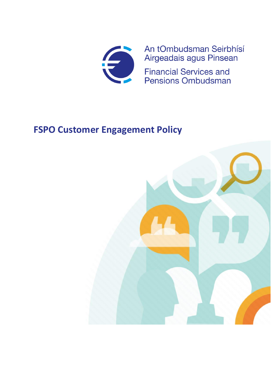

An tOmbudsman Seirbhísí Airgeadais agus Pinsean

**Financial Services and Pensions Ombudsman** 

# **FSPO Customer Engagement Policy**

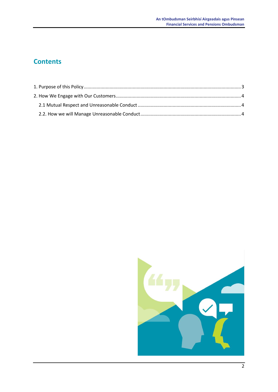# **Contents**

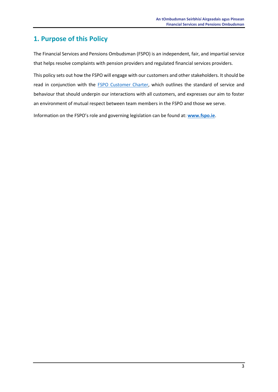## <span id="page-2-0"></span>**1. Purpose of this Policy**

The Financial Services and Pensions Ombudsman (FSPO) is an independent, fair, and impartial service that helps resolve complaints with pension providers and regulated financial services providers.

This policy sets out how the FSPO will engage with our customers and other stakeholders. It should be read in conjunction with the [FSPO Customer Charter,](https://www.fspo.ie/about-us/charter.asp) which outlines the standard of service and behaviour that should underpin our interactions with all customers, and expresses our aim to foster an environment of mutual respect between team members in the FSPO and those we serve.

Information on the FSPO's role and governing legislation can be found at: **[www.fspo.ie](http://www.fspo.ie/)**.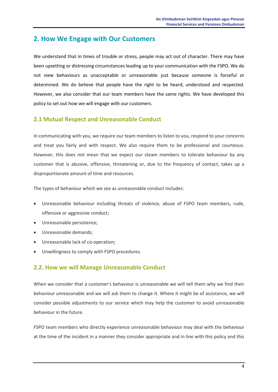## <span id="page-3-0"></span>**2. How We Engage with Our Customers**

We understand that in times of trouble or stress, people may act out of character. There may have been upsetting or distressing circumstances leading up to your communication with the FSPO. We do not view behaviours as unacceptable or unreasonable just because someone is forceful or determined. We do believe that people have the right to be heard, understood and respected. However, we also consider that our team members have the same rights. We have developed this policy to set out how we will engage with our customers.

### <span id="page-3-1"></span>**2.1 Mutual Respect and Unreasonable Conduct**

In communicating with you, we require our team members to listen to you, respond to your concerns and treat you fairly and with respect. We also require them to be professional and courteous. However, this does not mean that we expect our steam members to tolerate behaviour by any customer that is abusive, offensive, threatening or, due to the frequency of contact, takes up a disproportionate amount of time and resources.

The types of behaviour which we see as unreasonable conduct includes:

- Unreasonable behaviour including threats of violence, abuse of FSPO team members, rude, offensive or aggressive conduct;
- Unreasonable persistence;
- Unreasonable demands;
- Unreasonable lack of co-operation;
- Unwillingness to comply with FSPO procedures.

#### <span id="page-3-2"></span>**2.2. How we will Manage Unreasonable Conduct**

When we consider that a customer's behaviour is unreasonable we will tell them why we find their behaviour unreasonable and we will ask them to change it. Where it might be of assistance, we will consider possible adjustments to our service which may help the customer to avoid unreasonable behaviour in the future.

FSPO team members who directly experience unreasonable behaviour may deal with the behaviour at the time of the incident in a manner they consider appropriate and in line with this policy and this